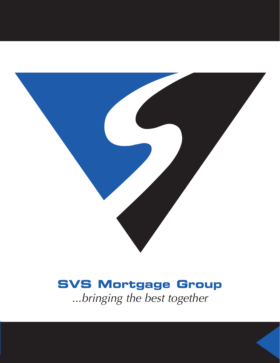

## **SVS Mortgage Group**

*...bringing the best together*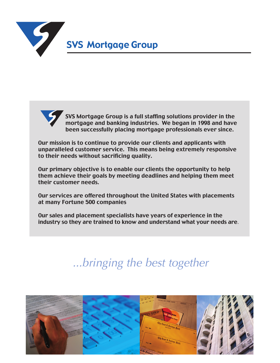



SVS Mortgage Group is a full staffing solutions provider in the mortgage and banking industries. We began in 1998 and have been successfully placing mortgage professionals ever since.

Our mission is to continue to provide our clients and applicants with unparalleled customer service. This means being extremely responsive to their needs without sacrificing quality.

Our primary objective is to enable our clients the opportunity to help them achieve their goals by meeting deadlines and helping them meet their customer needs.

Our services are offered throughout the United States with placements at many Fortune 500 companies

Our sales and placement specialists have years of experience in the industry so they are trained to know and understand what your needs are.

### *...bringing the best together*

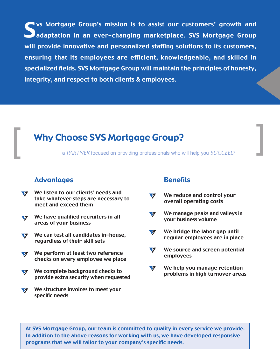Sure Superstanding Sus Mortgage Group's mission is to assist our customers' growth and<br>Superation in an ever-changing marketplace. SVS Mortgage Group adaptation in an ever-changing marketplace. SVS Mortgage Group will provide innovative and personalized staffing solutions to its customers, ensuring that its employees are efficient, knowledgeable, and skilled in specialized fields. SVS Mortgage Group will maintain the principles of honesty, integrity, and respect to both clients & employees..

# **Example 20 Why Choose SVS Mortgage Group?**<br> **a** *PARTNER* focused on providing professionals who will help you *SUCCEED*

### Advantages

- We listen to our clients' needs and  $\sqrt{2}$ take whatever steps are necessary to meet and exceed them
- We have qualified recruiters in all  $\sqrt{2}$ areas of your business
- We can test all candidates in-house, regardless of their skill sets
- We perform at least two reference checks on every employee we place
- We complete background checks to provide extra security when requested
- We structure invoices to meet your  $\mathcal{F}$ specific needs

#### **Benefits**

- We reduce and control your  $\mathcal{S}$ overall operating costs
- We manage peaks and valleys in  $\blacktriangledown$ your business volume
- We bridge the labor gap until  $\mathcal{G}$ regular employees are in place
- $\mathcal{F}$ We source and screen potential employees
- $\blacktriangledown$ We help you manage retention problems in high turnover areas

At SVS Mortgage Group, our team is committed to quality in every service we provide. In addition to the above reasons for working with us, we have developed responsive programs that we will tailor to your company's specific needs.